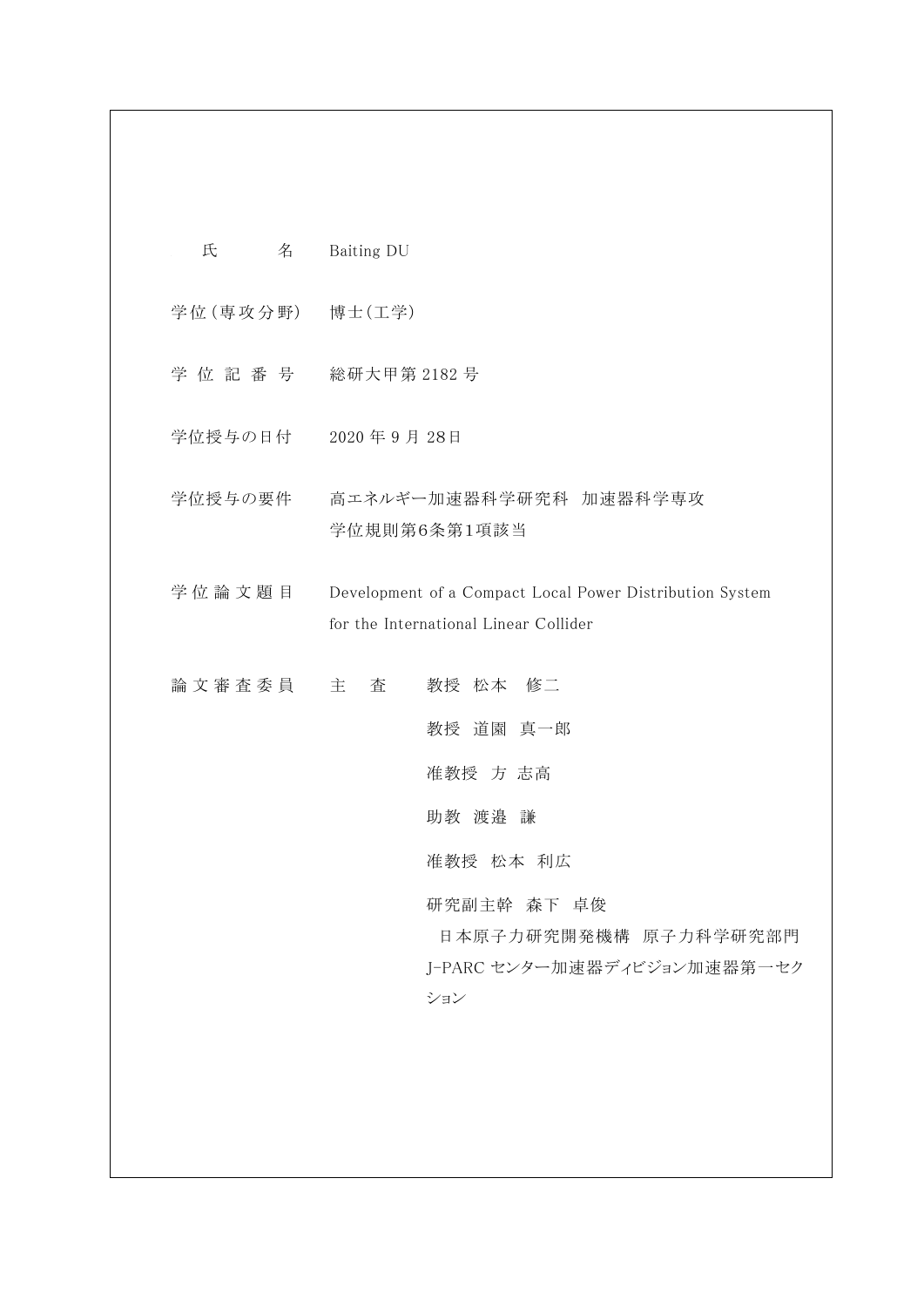| 氏               | 名 | Baiting DU                                                                                                                              |
|-----------------|---|-----------------------------------------------------------------------------------------------------------------------------------------|
| 学位(専攻分野) 博士(工学) |   |                                                                                                                                         |
|                 |   | 学位記番号 総研大甲第2182号                                                                                                                        |
|                 |   | 学位授与の日付 2020年9月28日                                                                                                                      |
|                 |   | 学位授与の要件 高エネルギー加速器科学研究科 加速器科学専攻<br>学位規則第6条第1項該当                                                                                          |
| 学位論文題目          |   | Development of a Compact Local Power Distribution System<br>for the International Linear Collider                                       |
| 論文審査委員 主 査      |   | 教授 松本 修二<br>教授 道園 真一郎<br>准教授 方 志高<br>助教 渡邉 謙<br>准教授 松本 利広<br>研究副主幹 森下 卓俊<br>日本原子力研究開発機構 原子力科学研究部門<br>J-PARC センター加速器ディビジョン加速器第一セク<br>ション |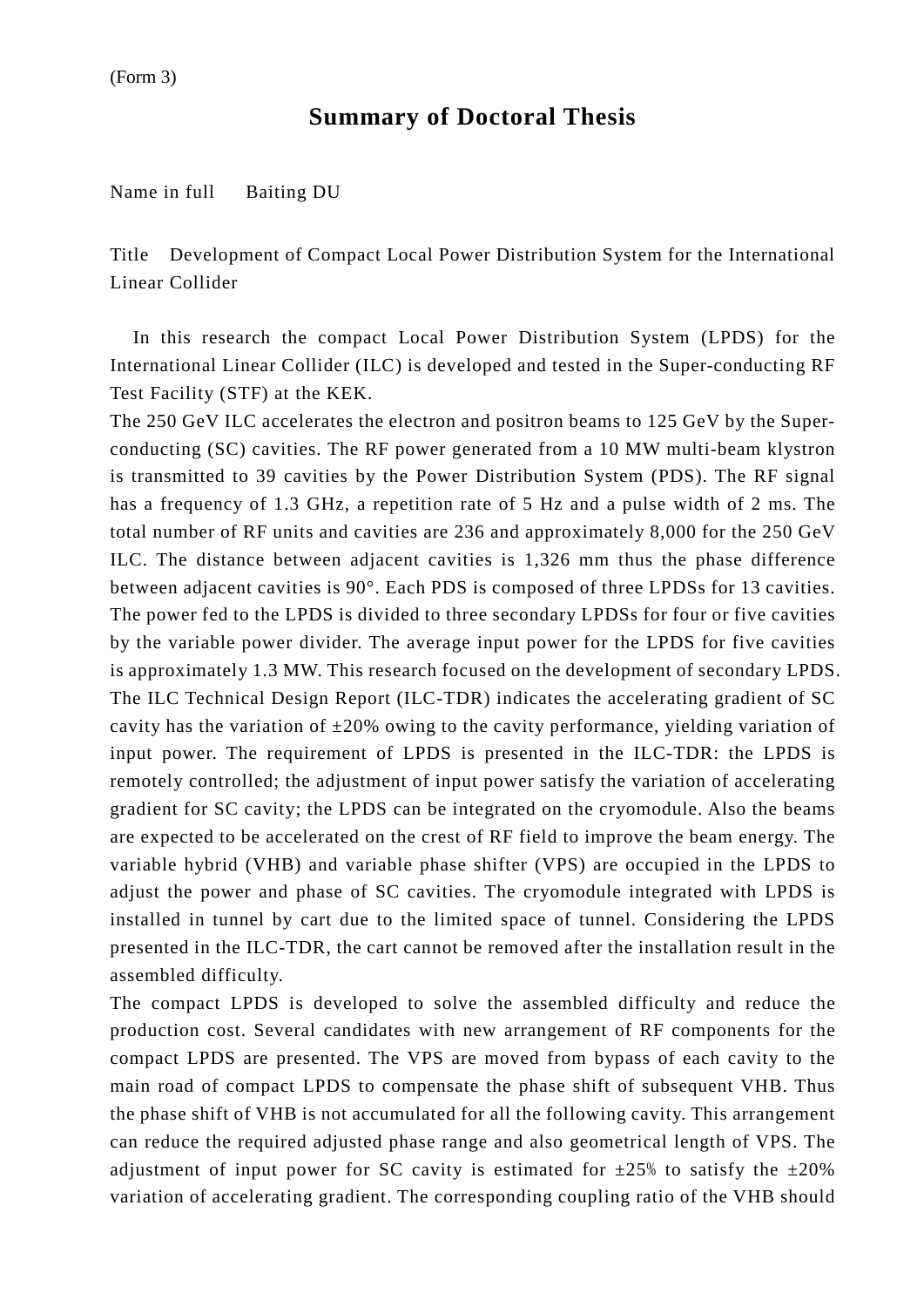## **Summary of Doctoral Thesis**

Name in full Baiting DU

Title Development of Compact Local Power Distribution System for the International Linear Collider

In this research the compact Local Power Distribution System (LPDS) for the International Linear Collider (ILC) is developed and tested in the Super-conducting RF Test Facility (STF) at the KEK.

The 250 GeV ILC accelerates the electron and positron beams to 125 GeV by the Superconducting (SC) cavities. The RF power generated from a 10 MW multi-beam klystron is transmitted to 39 cavities by the Power Distribution System (PDS). The RF signal has a frequency of 1.3 GHz, a repetition rate of 5 Hz and a pulse width of 2 ms. The total number of RF units and cavities are 236 and approximately 8,000 for the 250 GeV ILC. The distance between adjacent cavities is 1,326 mm thus the phase difference between adjacent cavities is 90°. Each PDS is composed of three LPDSs for 13 cavities. The power fed to the LPDS is divided to three secondary LPDSs for four or five cavities by the variable power divider. The average input power for the LPDS for five cavities is approximately 1.3 MW. This research focused on the development of secondary LPDS. The ILC Technical Design Report (ILC-TDR) indicates the accelerating gradient of SC cavity has the variation of  $\pm 20\%$  owing to the cavity performance, yielding variation of input power. The requirement of LPDS is presented in the ILC-TDR: the LPDS is remotely controlled; the adjustment of input power satisfy the variation of accelerating gradient for SC cavity; the LPDS can be integrated on the cryomodule. Also the beams are expected to be accelerated on the crest of RF field to improve the beam energy. The variable hybrid (VHB) and variable phase shifter (VPS) are occupied in the LPDS to adjust the power and phase of SC cavities. The cryomodule integrated with LPDS is installed in tunnel by cart due to the limited space of tunnel. Considering the LPDS presented in the ILC-TDR, the cart cannot be removed after the installation result in the assembled difficulty.

The compact LPDS is developed to solve the assembled difficulty and reduce the production cost. Several candidates with new arrangement of RF components for the compact LPDS are presented. The VPS are moved from bypass of each cavity to the main road of compact LPDS to compensate the phase shift of subsequent VHB. Thus the phase shift of VHB is not accumulated for all the following cavity. This arrangement can reduce the required adjusted phase range and also geometrical length of VPS. The adjustment of input power for SC cavity is estimated for  $\pm 25\%$  to satisfy the  $\pm 20\%$ variation of accelerating gradient. The corresponding coupling ratio of the VHB should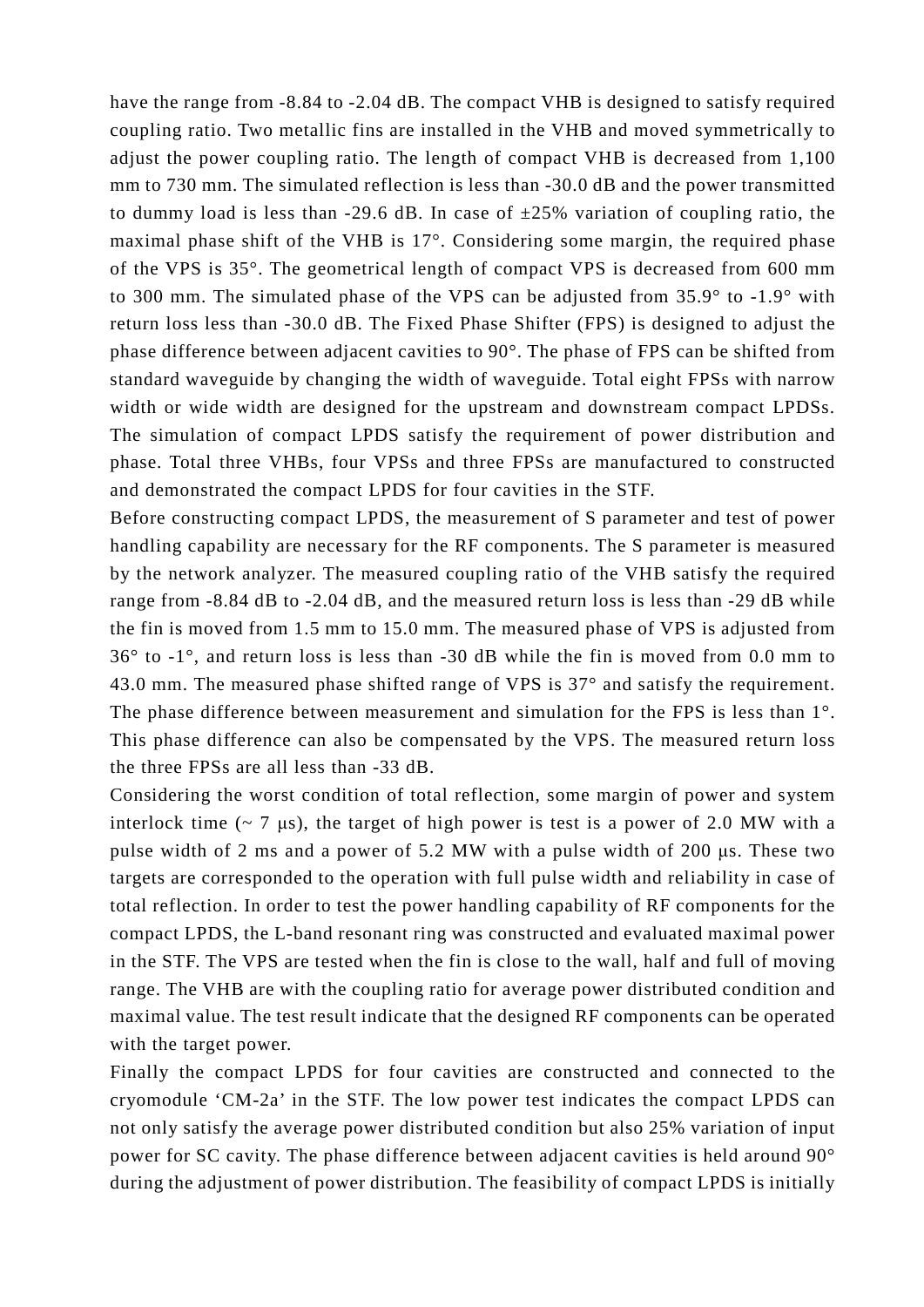have the range from -8.84 to -2.04 dB. The compact VHB is designed to satisfy required coupling ratio. Two metallic fins are installed in the VHB and moved symmetrically to adjust the power coupling ratio. The length of compact VHB is decreased from 1,100 mm to 730 mm. The simulated reflection is less than -30.0 dB and the power transmitted to dummy load is less than -29.6 dB. In case of  $\pm 25\%$  variation of coupling ratio, the maximal phase shift of the VHB is 17°. Considering some margin, the required phase of the VPS is 35°. The geometrical length of compact VPS is decreased from 600 mm to 300 mm. The simulated phase of the VPS can be adjusted from 35.9° to -1.9° with return loss less than -30.0 dB. The Fixed Phase Shifter (FPS) is designed to adjust the phase difference between adjacent cavities to 90°. The phase of FPS can be shifted from standard waveguide by changing the width of waveguide. Total eight FPSs with narrow width or wide width are designed for the upstream and downstream compact LPDSs. The simulation of compact LPDS satisfy the requirement of power distribution and phase. Total three VHBs, four VPSs and three FPSs are manufactured to constructed and demonstrated the compact LPDS for four cavities in the STF.

Before constructing compact LPDS, the measurement of S parameter and test of power handling capability are necessary for the RF components. The S parameter is measured by the network analyzer. The measured coupling ratio of the VHB satisfy the required range from -8.84 dB to -2.04 dB, and the measured return loss is less than -29 dB while the fin is moved from 1.5 mm to 15.0 mm. The measured phase of VPS is adjusted from 36° to -1°, and return loss is less than -30 dB while the fin is moved from 0.0 mm to 43.0 mm. The measured phase shifted range of VPS is 37° and satisfy the requirement. The phase difference between measurement and simulation for the FPS is less than 1°. This phase difference can also be compensated by the VPS. The measured return loss the three FPSs are all less than -33 dB.

Considering the worst condition of total reflection, some margin of power and system interlock time  $(-7 \mu s)$ , the target of high power is test is a power of 2.0 MW with a pulse width of 2 ms and a power of 5.2 MW with a pulse width of 200 μs. These two targets are corresponded to the operation with full pulse width and reliability in case of total reflection. In order to test the power handling capability of RF components for the compact LPDS, the L-band resonant ring was constructed and evaluated maximal power in the STF. The VPS are tested when the fin is close to the wall, half and full of moving range. The VHB are with the coupling ratio for average power distributed condition and maximal value. The test result indicate that the designed RF components can be operated with the target power.

Finally the compact LPDS for four cavities are constructed and connected to the cryomodule 'CM-2a' in the STF. The low power test indicates the compact LPDS can not only satisfy the average power distributed condition but also 25% variation of input power for SC cavity. The phase difference between adjacent cavities is held around 90° during the adjustment of power distribution. The feasibility of compact LPDS is initially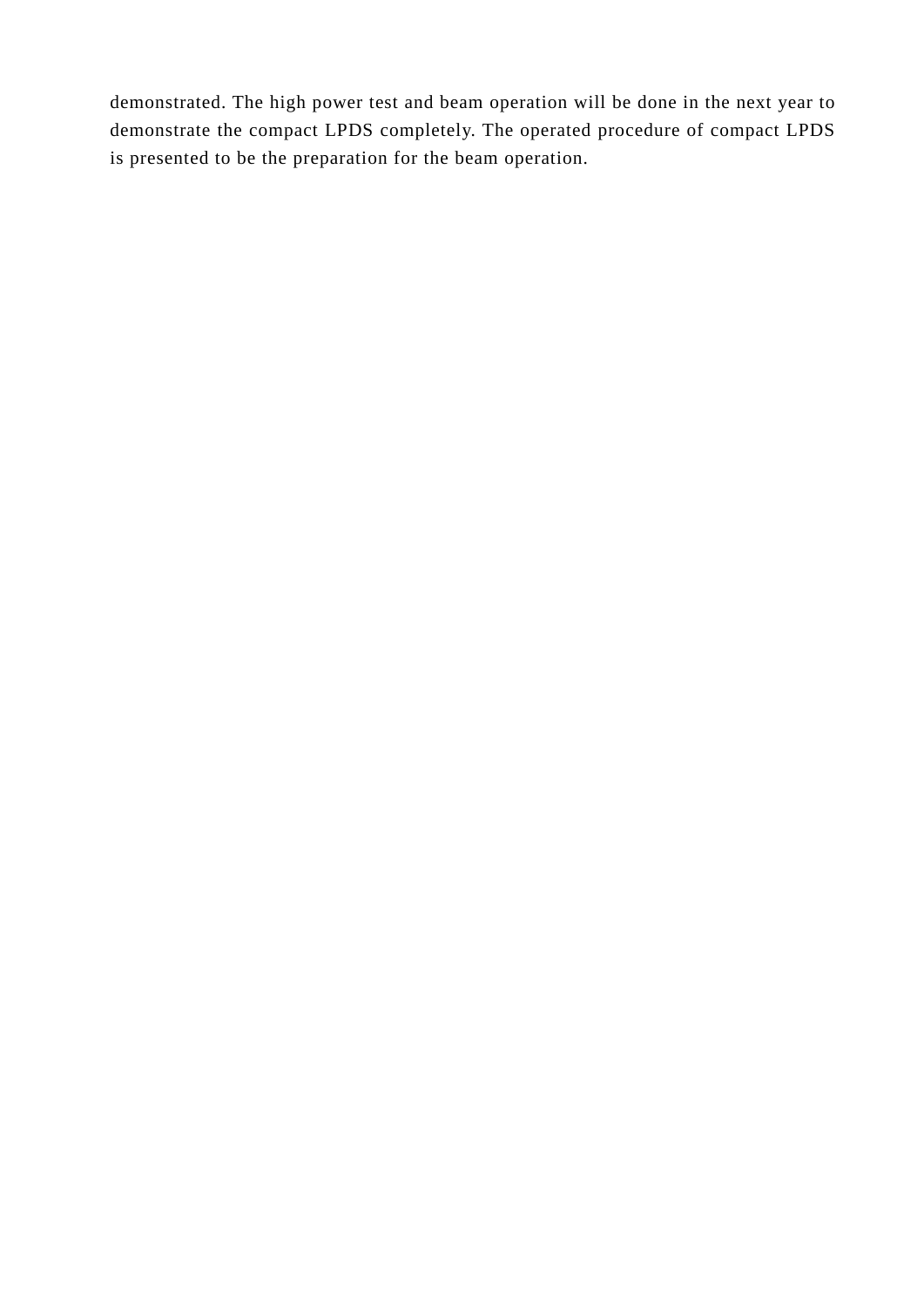demonstrated. The high power test and beam operation will be done in the next year to demonstrate the compact LPDS completely. The operated procedure of compact LPDS is presented to be the preparation for the beam operation.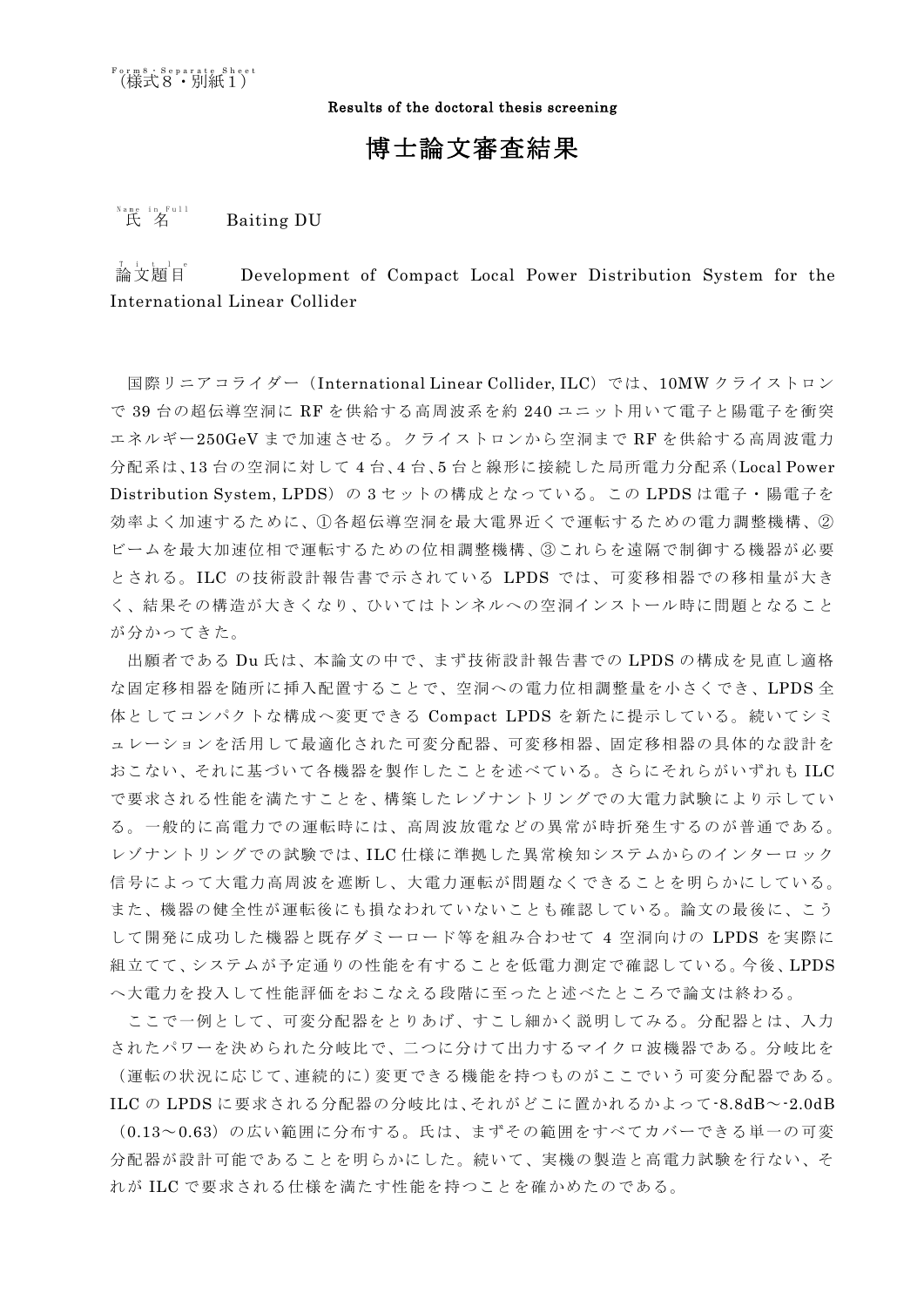Results of the doctoral thesis screening

## 博士論文審査結果

氏 名 *<sup>E</sup>* Name in Full **Baiting DU** 

 $A$   $A$   $\mathbb{Z}$   $\mathbb{Z}$   $B$   $\mathbb{Z}$   $\mathbb{Z}$   $\mathbb{Z}$   $\mathbb{Z}$   $\mathbb{Z}$   $\mathbb{Z}$   $\mathbb{Z}$   $\mathbb{Z}$   $\mathbb{Z}$   $\mathbb{Z}$   $\mathbb{Z}$   $\mathbb{Z}$   $\mathbb{Z}$   $\mathbb{Z}$   $\mathbb{Z}$   $\mathbb{Z}$   $\mathbb{Z}$   $\mathbb{Z}$   $\mathbb{Z}$   $\mathbb{Z}$   $\mathbb{Z}$   $\$ *<sup>A</sup>* Development of Compact Local Power Distribution System for the International Linear Collider

国際リニアコライダー(International Linear Collider, ILC)では、10MW クライストロン で 39 台の超伝導空洞に RF を供給する高周波系を約 240 ユニット用いて電子と陽電子を衝突 エネルギー250GeV まで加速させる。クライストロンから空洞まで RF を供給する高周波電力 分配系は、13 台の空洞に対して 4 台、4 台、5 台と線形に接続した局所電力分配系(Local Power Distribution System, LPDS)の 3 セットの構成となっている。この LPDS は電子・陽電子を 効率よく加速するために、①各超伝導空洞を最大電界近くで運転するための電力調整機構、② ビームを最大加速位相で運転するための位相調整機構、③これらを遠隔で制御する機器が必要 とされる。ILC の技術設計報告書で示されている LPDS では、可変移相器での移相量が大き く、結果その構造が大きくなり、ひいてはトンネルへの空洞インストール時に問題となること が分かってきた。

出願者である Du 氏は、本論文の中で、まず技術設計報告書での LPDS の構成を見直し適格 な固定移相器を随所に挿入配置することで、空洞への電力位相調整量を小さくでき、LPDS 全 体としてコンパクトな構成へ変更できる Compact LPDS を新たに提示している。続いてシミ ュレーションを活用して最適化された可変分配器、可変移相器、固定移相器の具体的な設計を おこない、それに基づいて各機器を製作したことを述べている。さらにそれらがいずれも ILC で要求される性能を満たすことを、構築したレゾナントリングでの大電力試験により示してい る。一般的に高電力での運転時には、高周波放電などの異常が時折発生するのが普通である。 レゾナントリングでの試験では、ILC 仕様に準拠した異常検知システムからのインターロック 信号によって大電力高周波を遮断し、大電力運転が問題なくできることを明らかにしている。 また、機器の健全性が運転後にも損なわれていないことも確認している。論文の最後に、こう して開発に成功した機器と既存ダミーロード等を組み合わせて 4 空洞向けの LPDS を実際に 組立てて、システムが予定通りの性能を有することを低電力測定で確認している。今後、LPDS へ大電力を投入して性能評価をおこなえる段階に至ったと述べたところで論文は終わる。

ここで一例として、可変分配器をとりあげ、すこし細かく説明してみる。分配器とは、入力 されたパワーを決められた分岐比で、二つに分けて出力するマイクロ波機器である。分岐比を (運転の状況に応じて、連続的に)変更できる機能を持つものがここでいう可変分配器である。 ILC の LPDS に要求される分配器の分岐比は、それがどこに置かれるかよって-8.8dB~-2.0dB (0.13~0.63)の広い範囲に分布する。氏は、まずその範囲をすべてカバーできる単一の可変 分配器が設計可能であることを明らかにした。続いて、実機の製造と高電力試験を行ない、そ れが ILC で要求される仕様を満たす性能を持つことを確かめたのである。